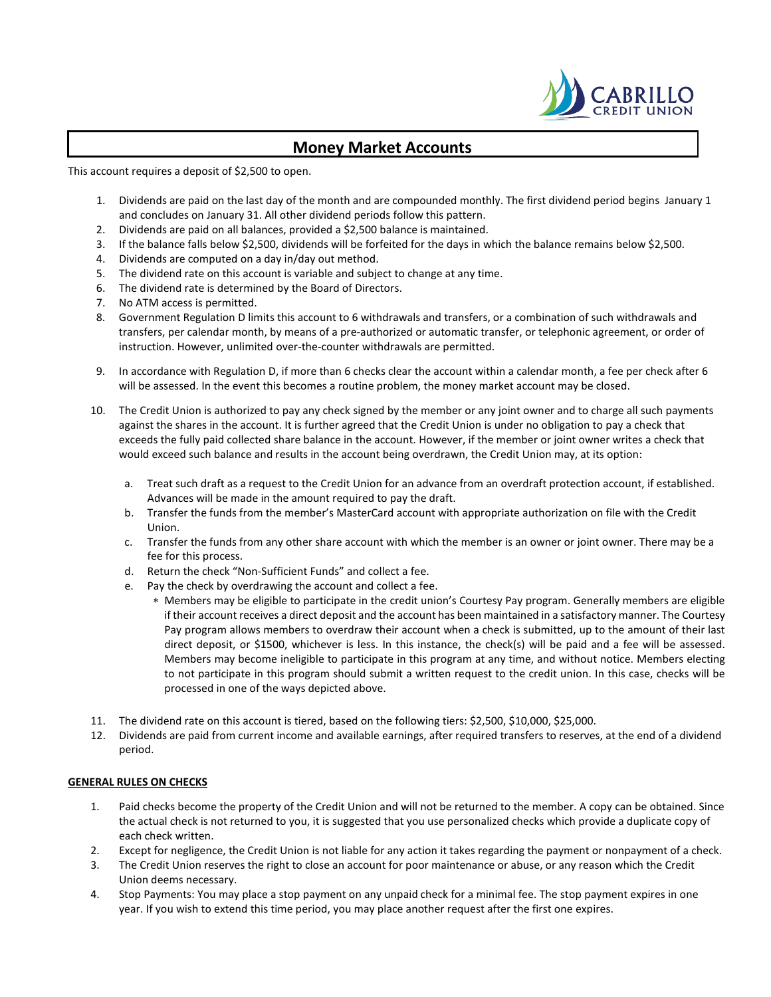

## **Money Market Accounts**

This account requires a deposit of \$2,500 to open.

- 1. Dividends are paid on the last day of the month and are compounded monthly. The first dividend period begins January 1 and concludes on January 31. All other dividend periods follow this pattern.
- 2. Dividends are paid on all balances, provided a \$2,500 balance is maintained.
- 3. If the balance falls below \$2,500, dividends will be forfeited for the days in which the balance remains below \$2,500.
- 4. Dividends are computed on a day in/day out method.
- 5. The dividend rate on this account is variable and subject to change at any time.
- 6. The dividend rate is determined by the Board of Directors.
- 7. No ATM access is permitted.
- 8. Government Regulation D limits this account to 6 withdrawals and transfers, or a combination of such withdrawals and transfers, per calendar month, by means of a pre-authorized or automatic transfer, or telephonic agreement, or order of instruction. However, unlimited over-the-counter withdrawals are permitted.
- 9. In accordance with Regulation D, if more than 6 checks clear the account within a calendar month, a fee per check after 6 will be assessed. In the event this becomes a routine problem, the money market account may be closed.
- 10. The Credit Union is authorized to pay any check signed by the member or any joint owner and to charge all such payments against the shares in the account. It is further agreed that the Credit Union is under no obligation to pay a check that exceeds the fully paid collected share balance in the account. However, if the member or joint owner writes a check that would exceed such balance and results in the account being overdrawn, the Credit Union may, at its option:
	- a. Treat such draft as a request to the Credit Union for an advance from an overdraft protection account, if established. Advances will be made in the amount required to pay the draft.
	- b. Transfer the funds from the member's MasterCard account with appropriate authorization on file with the Credit Union.
	- c. Transfer the funds from any other share account with which the member is an owner or joint owner. There may be a fee for this process.
	- d. Return the check "Non-Sufficient Funds" and collect a fee.
	- e. Pay the check by overdrawing the account and collect a fee.
		- ∗ Members may be eligible to participate in the credit union's Courtesy Pay program. Generally members are eligible if their account receives a direct deposit and the account has been maintained in a satisfactory manner. The Courtesy Pay program allows members to overdraw their account when a check is submitted, up to the amount of their last direct deposit, or \$1500, whichever is less. In this instance, the check(s) will be paid and a fee will be assessed. Members may become ineligible to participate in this program at any time, and without notice. Members electing to not participate in this program should submit a written request to the credit union. In this case, checks will be processed in one of the ways depicted above.
- 11. The dividend rate on this account is tiered, based on the following tiers: \$2,500, \$10,000, \$25,000.
- 12. Dividends are paid from current income and available earnings, after required transfers to reserves, at the end of a dividend period.

## **GENERAL RULES ON CHECKS**

- 1. Paid checks become the property of the Credit Union and will not be returned to the member. A copy can be obtained. Since the actual check is not returned to you, it is suggested that you use personalized checks which provide a duplicate copy of each check written.
- 2. Except for negligence, the Credit Union is not liable for any action it takes regarding the payment or nonpayment of a check.
- 3. The Credit Union reserves the right to close an account for poor maintenance or abuse, or any reason which the Credit Union deems necessary.
- 4. Stop Payments: You may place a stop payment on any unpaid check for a minimal fee. The stop payment expires in one year. If you wish to extend this time period, you may place another request after the first one expires.